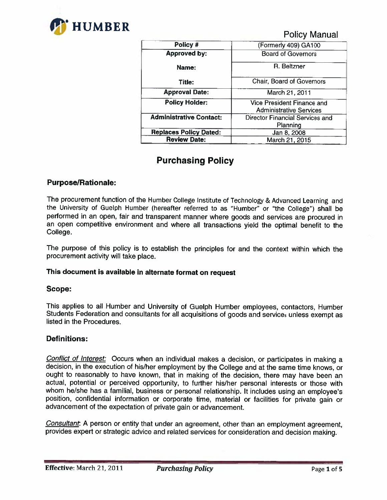

Policy Manual

| Policy #                       | (Formerly 409) GA100                                         |  |
|--------------------------------|--------------------------------------------------------------|--|
| <b>Approved by:</b>            | <b>Board of Governors</b>                                    |  |
| Name:                          | R. Beltzner                                                  |  |
| Title:                         | Chair, Board of Governors                                    |  |
| <b>Approval Date:</b>          | March 21, 2011                                               |  |
| <b>Policy Holder:</b>          | Vice President Finance and<br><b>Administrative Services</b> |  |
| <b>Administrative Contact:</b> | Director Financial Services and<br>Planning                  |  |
| <b>Replaces Policy Dated:</b>  | Jan 8, 2008                                                  |  |
| <b>Review Date:</b>            | March 21, 2015                                               |  |

# Purchasing Policy

# Purpose/Rationale:

The procurement function of the Humber College Institute of Technology & Advanced Learning and the University of Guelph Humber (hereafter referred to as "Humber" or "the College") shall be performed in an open, fair and transparent manner where goods and services are procured in an open competitive environment and where all transactions yield the optimal benefit to the College.

The purpose of this policy is to establish the principles for and the context within which the procurement activity will take place.

## This document is available in alternate format on request

## Scope:

This applies to all Humber and University of Guelph Humber employees, contactors, Humber Students Federation and consultants for all acquisitions of goods and services unless exempt as listed in the Procedures.

## Definitions:

Conflict of Interest: Occurs when an individual makes a decision, or participates in making a decision, in the execution of his/her employment by the College and at the same time knows, or ought to reasonably to have known, that in making of the decision, there may have been an actual, potential or perceived opportunity, to further his/her personal interests or those with whom he/she has a familial, business or personal relationship. It includes using an employee's position, confidential information or corporate time, material or facilities for private gain or advancement of the expectation of private gain or advancement.

Consultant. A person or entity that under an agreement, other than an employment agreement, provides expert or strategic advice and related services for consideration and decision making.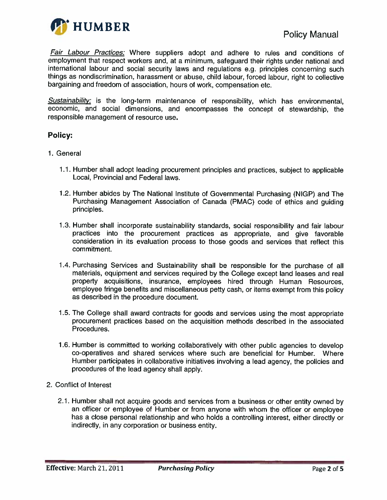

Fair Labour Practices: Where suppliers adopt and adhere to rules and conditions of employment that respect workers and, at a minimum, safeguard their rights under national and international labour and social security laws and regulations e.g. principles concerning such things as nondiscrimination, harassment or abuse, child labour, forced labour, right to collective bargaining and freedom of association, hours of work, compensation etc.

**Sustainability:** is the long-term maintenance of responsibility, which has environmental, economic, and social dimensions, and encompasses the concept of stewardship, the responsible management of resource use.

# **Policy:**

- 1. General
	- 1.1. Humber shall adopt leading procurement principles and practices, subject to applicable Local, Provincial and Federal laws.
	- 1.2. Humber abides by The National Institute of Governmental Purchasing (NIGP) and The Purchasing Management Association of Canada (PMAC) code of ethics and guiding principles.
	- 1.3. Humber shall incorporate sustainability standards, social responsibility and fair labour practices into the procurement practices as appropriate, and give favorable consideration in its evaluation process to those goods and services that reflect this commitment.
	- 1.4. Purchasing Services and Sustainability shall be responsible for the purchase of all materials, equipment and services required by the College except land leases and real property acquisitions, insurance, employees hired through Human Resources, employee fringe benefits and miscellaneous petty cash, or items exempt from this policy as described in the procedure document.
	- 1.5. The College shall award contracts for goods and services using the most appropriate procurement practices based on the acquisition methods described in the associated Procedures.
	- 1.6. Humber is committed to working collaboratively with other public agencies to develop co-operatives and shared services where such are beneficial for Humber. Where Humber participates in collaborative initiatives involving a lead agency, the policies and procedures of the lead agency shall apply.
- 2. Conflict of Interest
	- 2.1. Humber shall not acquire goods and services from a business or other entity owned by an officer or employee of Humber or from anyone with whom the officer or employee has a close personal relationship and who holds a controlling interest, either directly or indirectly, in any corporation or business entity.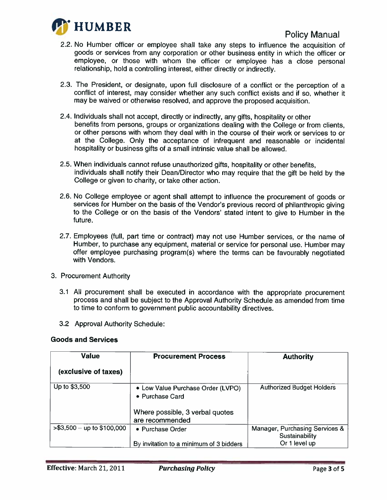

- 2.2. No Humber officer or employee shall take any steps to influence the acquisition of goods or services from any corporation or other business entity in which the officer or employee, or those with whom the officer or employee has a close personal relationship, hold a controlling interest, either directly or indirectly.
- 2.3. The President, or designate, upon full disclosure of a conflict or the perception of a conflict of interest, may consider whether any such conflict exists and if so, whether it may be waived or otherwise resolved, and approve the proposed acquisition.
- 2.4. Individuals shall not accept, directly or indirectly, any gifts, hospitality or other benefits from persons, groups or organizations dealing with the College or from clients, or other persons with whom they deal with in the course of their work or services to or at the College. Only the acceptance of infrequent and reasonable or incidental hospitality or business gifts of a small intrinsic value shall be allowed.
- 2.5. When individuals cannot refuse unauthorized gifts, hospitality or other benefits, individuals shall notify their Dean/Director who may require that the gift be held by the College or given to charity, or take other action.
- 2.6. No College employee or agent shall attempt to influence the procurement of goods or services for Humber on the basis of the Vendor's previous record of philanthropic giving to the College or on the basis of the Vendors' stated intent to give to Humber in the future.
- 2.7. Employees (full, part time or contract) may not use Humber services, or the name of Humber, to purchase any equipment, material or service tor personal use. Humber may offer employee purchasing program(s) where the terms can be favourably negotiated with Vendors.
- 3. Procurement Authority
	- 3.1 All procurement shall be executed in accordance with the appropriate procurement process and shall be subject to the Approval Authority Schedule as amended from time to time to conform to government public accountability directives.
	- 3.2 Approval Authority Schedule:

#### Goods and Services

| <b>Value</b>                 | <b>Procurement Process</b>                           | <b>Authority</b>                                 |
|------------------------------|------------------------------------------------------|--------------------------------------------------|
| (exclusive of taxes)         |                                                      |                                                  |
| Up to \$3,500                | • Low Value Purchase Order (LVPO)<br>• Purchase Card | <b>Authorized Budget Holders</b>                 |
|                              | Where possible, 3 verbal quotes<br>are recommended   |                                                  |
| $> $3,500 -$ up to \$100,000 | • Purchase Order                                     | Manager, Purchasing Services &<br>Sustainability |
|                              | By invitation to a minimum of 3 bidders              | Or 1 level up                                    |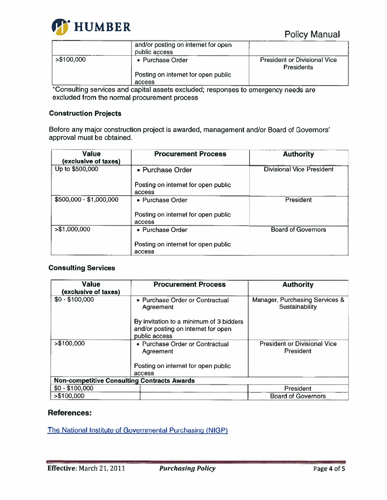

|             | and/or posting on internet for open<br>public access |                                                   |
|-------------|------------------------------------------------------|---------------------------------------------------|
| > \$100,000 | • Purchase Order                                     | <b>President or Divisional Vice</b><br>Presidents |
|             | Posting on internet for open public                  |                                                   |
|             | access                                               |                                                   |

\* Consulting services and capital assets excluded; responses to emergency needs are excluded from the normal procurement process

## Construction Projects

Before any major construction project is awarded, management and/or Board of Governors' approval must be obtained.

| <b>Value</b><br>(exclusive of taxes) | <b>Procurement Process</b>                    | <b>Authority</b>                 |
|--------------------------------------|-----------------------------------------------|----------------------------------|
| Up to \$500,000                      | • Purchase Order                              | <b>Divisional Vice President</b> |
|                                      | Posting on internet for open public<br>access |                                  |
| \$500,000 - \$1,000,000              | • Purchase Order                              | President                        |
|                                      | Posting on internet for open public<br>access |                                  |
| > \$1,000,000                        | • Purchase Order                              | <b>Board of Governors</b>        |
|                                      | Posting on internet for open public<br>access |                                  |

## Consulting Services

| <b>Value</b><br>(exclusive of taxes)               | <b>Procurement Process</b>                                                                      | <b>Authority</b>                                 |
|----------------------------------------------------|-------------------------------------------------------------------------------------------------|--------------------------------------------------|
| $$0 - $100,000$                                    | • Purchase Order or Contractual<br>Agreement                                                    | Manager, Purchasing Services &<br>Sustainability |
|                                                    | By invitation to a minimum of 3 bidders<br>and/or posting on internet for open<br>public access |                                                  |
| > \$100,000                                        | • Purchase Order or Contractual<br>Agreement                                                    | <b>President or Divisional Vice</b><br>President |
|                                                    | Posting on internet for open public<br>access                                                   |                                                  |
| <b>Non-competitive Consulting Contracts Awards</b> |                                                                                                 |                                                  |
| $$0 - $100,000$                                    |                                                                                                 | President                                        |
| > \$100,000                                        |                                                                                                 | <b>Board of Governors</b>                        |

## References:

[The National Institute of Governmental Purchasing \(NIGP\)](http://www.nigp.org/)